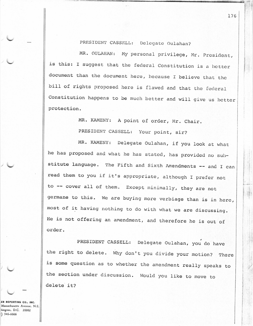PRESIDENT CASSELL: Delegate Oulahan?

MR. OULAHAN: My personal privilege, Mr. President, is this: I suggest that the federal Constitution is a better document than the document here, because I believe that the bill of rights proposed here is flawed and that the federal Constitution happens to be much better and will give us better protection.

MR. KAMENY: A point of order, Mr. Chair.

PRESIDENT CASSELL: Your point, sir?

MR. KAMENY: Delegate Oulahan, if you look at what he has proposed and what he has stated, has provided no substitute language. The Fifth and Sixth Amendments -- and I can read them to you if it's appropriate, although I prefer not to -- cover all of them. Except minimally, they are not germane to this. We are buying more verbiage than is in here, most of it having nothing to do with what we are discussing. He is not offering an amendment, and therefore he is out of order.

PRESIDENT CASSELL: Delegate Oulahan, you do have the right to delete. Why don't you divide your motion? There is some question as to whether the amendment really speaks to the section under discussion. Would you like to move to delete it?

R REPORTING CO., INC. Massachusetts Avenue, N.E. hington, D.C. 20002  $346 - 6666$